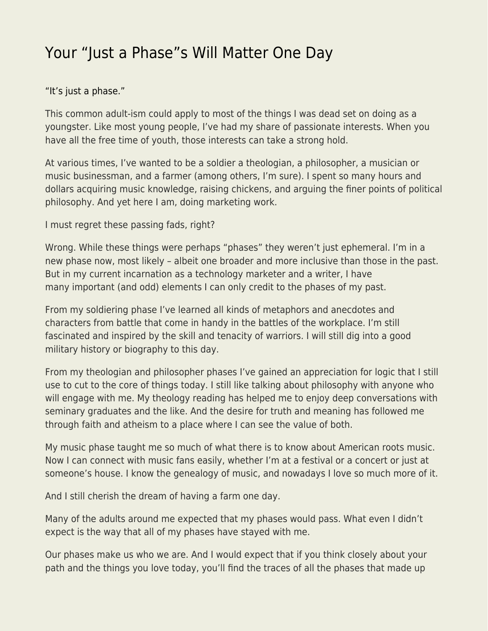## [Your "Just a Phase"s Will Matter One Day](https://everything-voluntary.com/your-just-a-phases-will-matter-one-day)

## ["It's just a phase."](https://medium.com/@DanSanchezV/obsession-is-a-skill-d95a6c9b3323)

This common adult-ism could apply to most of the things I was dead set on doing as a youngster. Like most young people, I've had my share of passionate interests. When you have all the free time of youth, those interests can take a strong hold.

At various times, I've wanted to be a soldier a theologian, a philosopher, a musician or music businessman, and a farmer (among others, I'm sure). I spent so many hours and dollars acquiring music knowledge, raising chickens, and arguing the finer points of political philosophy. And yet here I am, doing marketing work.

I must regret these passing fads, right?

Wrong. While these things were perhaps "phases" they weren't just ephemeral. I'm in a new phase now, most likely – albeit one broader and more inclusive than those in the past. But in my current incarnation as a technology marketer and a writer, I have many important (and odd) elements I can only credit to the phases of my past.

From my soldiering phase I've learned all kinds of metaphors and anecdotes and characters from battle that come in handy in the battles of the workplace. I'm still fascinated and inspired by the skill and tenacity of warriors. I will still dig into a good military history or biography to this day.

From my theologian and philosopher phases I've gained an appreciation for logic that I still use to cut to the core of things today. I still like talking about philosophy with anyone who will engage with me. My theology reading has helped me to enjoy deep conversations with seminary graduates and the like. And the desire for truth and meaning has followed me through faith and atheism to a place where I can see the value of both.

My music phase taught me so much of what there is to know about American roots music. Now I can connect with music fans easily, whether I'm at a festival or a concert or just at someone's house. I know the genealogy of music, and nowadays I love so much more of it.

And I still cherish the dream of having a farm one day.

Many of the adults around me expected that my phases would pass. What even I didn't expect is the way that all of my phases have stayed with me.

Our phases make us who we are. And I would expect that if you think closely about your path and the things you love today, you'll find the traces of all the phases that made up